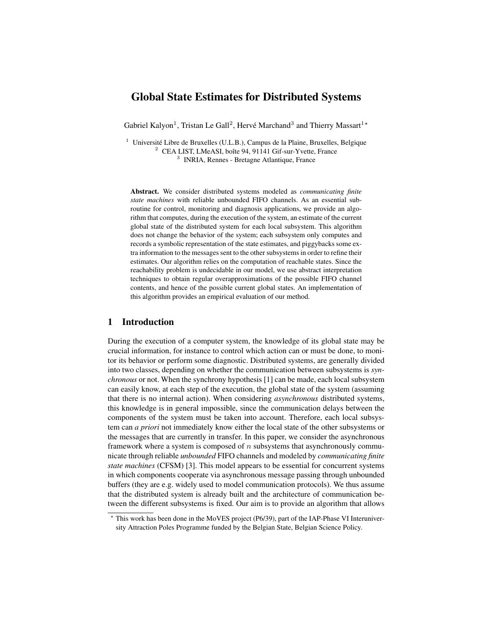# Global State Estimates for Distributed Systems

Gabriel Kalyon<sup>1</sup>, Tristan Le Gall<sup>2</sup>, Hervé Marchand<sup>3</sup> and Thierry Massart<sup>1\*</sup>

 $1$  Université Libre de Bruxelles (U.L.B.), Campus de la Plaine, Bruxelles, Belgique <sup>2</sup> CEA LIST, LMeASI, boîte 94, 91141 Gif-sur-Yvette, France 3 INRIA, Rennes - Bretagne Atlantique, France

Abstract. We consider distributed systems modeled as *communicating finite state machines* with reliable unbounded FIFO channels. As an essential subroutine for control, monitoring and diagnosis applications, we provide an algorithm that computes, during the execution of the system, an estimate of the current global state of the distributed system for each local subsystem. This algorithm does not change the behavior of the system; each subsystem only computes and records a symbolic representation of the state estimates, and piggybacks some extra information to the messages sent to the other subsystems in order to refine their estimates. Our algorithm relies on the computation of reachable states. Since the reachability problem is undecidable in our model, we use abstract interpretation techniques to obtain regular overapproximations of the possible FIFO channel contents, and hence of the possible current global states. An implementation of this algorithm provides an empirical evaluation of our method.

## 1 Introduction

During the execution of a computer system, the knowledge of its global state may be crucial information, for instance to control which action can or must be done, to monitor its behavior or perform some diagnostic. Distributed systems, are generally divided into two classes, depending on whether the communication between subsystems is *synchronous* or not. When the synchrony hypothesis [1] can be made, each local subsystem can easily know, at each step of the execution, the global state of the system (assuming that there is no internal action). When considering *asynchronous* distributed systems, this knowledge is in general impossible, since the communication delays between the components of the system must be taken into account. Therefore, each local subsystem can *a priori* not immediately know either the local state of the other subsystems or the messages that are currently in transfer. In this paper, we consider the asynchronous framework where a system is composed of  $n$  subsystems that asynchronously communicate through reliable *unbounded* FIFO channels and modeled by *communicating finite state machines* (CFSM) [3]. This model appears to be essential for concurrent systems in which components cooperate via asynchronous message passing through unbounded buffers (they are e.g. widely used to model communication protocols). We thus assume that the distributed system is already built and the architecture of communication between the different subsystems is fixed. Our aim is to provide an algorithm that allows

<sup>?</sup> This work has been done in the MoVES project (P6/39), part of the IAP-Phase VI Interuniversity Attraction Poles Programme funded by the Belgian State, Belgian Science Policy.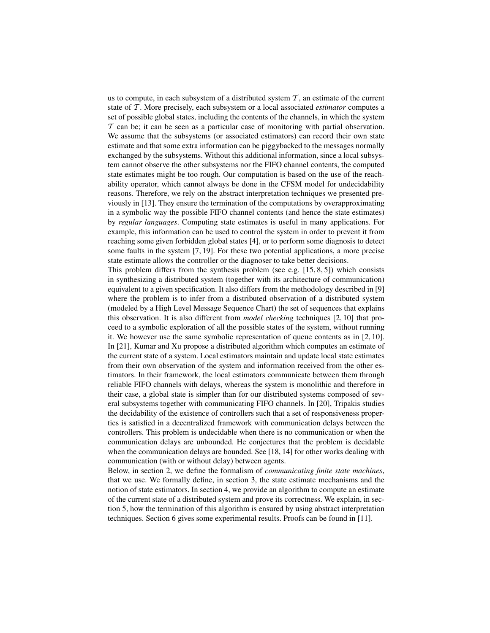us to compute, in each subsystem of a distributed system  $\mathcal{T}$ , an estimate of the current state of T . More precisely, each subsystem or a local associated *estimator* computes a set of possible global states, including the contents of the channels, in which the system  $T$  can be; it can be seen as a particular case of monitoring with partial observation. We assume that the subsystems (or associated estimators) can record their own state estimate and that some extra information can be piggybacked to the messages normally exchanged by the subsystems. Without this additional information, since a local subsystem cannot observe the other subsystems nor the FIFO channel contents, the computed state estimates might be too rough. Our computation is based on the use of the reachability operator, which cannot always be done in the CFSM model for undecidability reasons. Therefore, we rely on the abstract interpretation techniques we presented previously in [13]. They ensure the termination of the computations by overapproximating in a symbolic way the possible FIFO channel contents (and hence the state estimates) by *regular languages*. Computing state estimates is useful in many applications. For example, this information can be used to control the system in order to prevent it from reaching some given forbidden global states [4], or to perform some diagnosis to detect some faults in the system [7, 19]. For these two potential applications, a more precise state estimate allows the controller or the diagnoser to take better decisions.

This problem differs from the synthesis problem (see e.g.  $[15, 8, 5]$ ) which consists in synthesizing a distributed system (together with its architecture of communication) equivalent to a given specification. It also differs from the methodology described in [9] where the problem is to infer from a distributed observation of a distributed system (modeled by a High Level Message Sequence Chart) the set of sequences that explains this observation. It is also different from *model checking* techniques [2, 10] that proceed to a symbolic exploration of all the possible states of the system, without running it. We however use the same symbolic representation of queue contents as in [2, 10]. In [21], Kumar and Xu propose a distributed algorithm which computes an estimate of the current state of a system. Local estimators maintain and update local state estimates from their own observation of the system and information received from the other estimators. In their framework, the local estimators communicate between them through reliable FIFO channels with delays, whereas the system is monolithic and therefore in their case, a global state is simpler than for our distributed systems composed of several subsystems together with communicating FIFO channels. In [20], Tripakis studies the decidability of the existence of controllers such that a set of responsiveness properties is satisfied in a decentralized framework with communication delays between the controllers. This problem is undecidable when there is no communication or when the communication delays are unbounded. He conjectures that the problem is decidable when the communication delays are bounded. See [18, 14] for other works dealing with communication (with or without delay) between agents.

Below, in section 2, we define the formalism of *communicating finite state machines*, that we use. We formally define, in section 3, the state estimate mechanisms and the notion of state estimators. In section 4, we provide an algorithm to compute an estimate of the current state of a distributed system and prove its correctness. We explain, in section 5, how the termination of this algorithm is ensured by using abstract interpretation techniques. Section 6 gives some experimental results. Proofs can be found in [11].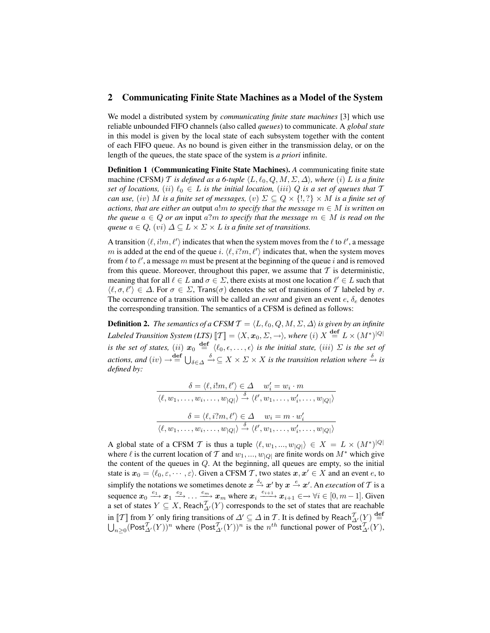### 2 Communicating Finite State Machines as a Model of the System

We model a distributed system by *communicating finite state machines* [3] which use reliable unbounded FIFO channels (also called *queues*) to communicate. A *global state* in this model is given by the local state of each subsystem together with the content of each FIFO queue. As no bound is given either in the transmission delay, or on the length of the queues, the state space of the system is *a priori* infinite.

Definition 1 (Communicating Finite State Machines). *A* communicating finite state machine *(CFSM)* T *is defined as a 6-tuple*  $\langle L, \ell_0, Q, M, \Sigma, \Delta \rangle$ *, where* (*i*) L *is a finite set of locations,* (ii)  $\ell_0 \in L$  *is the initial location,* (iii) Q *is a set of queues that*  $T$ *can use,* (*iv*) M *is a finite set of messages,* (*v*)  $\Sigma \subseteq Q \times \{!,\} \times M$  *is a finite set of actions, that are either an* output  $a!m$  *to specify that the message*  $m \in M$  *is written on the queue*  $a \in Q$  *or an* input  $a$ ?*m to specify that the message*  $m \in M$  *is read on the queue*  $a \in Q$ ,  $(vi) \Delta \subseteq L \times \Sigma \times L$  *is a finite set of transitions.* 

A transition  $\langle \ell, i | m, \ell' \rangle$  indicates that when the system moves from the  $\ell$  to  $\ell'$ , a message m is added at the end of the queue i.  $\langle \ell, i?m, \ell' \rangle$  indicates that, when the system moves from  $\ell$  to  $\ell'$ , a message m must be present at the beginning of the queue i and is removed from this queue. Moreover, throughout this paper, we assume that  $T$  is deterministic, meaning that for all  $\ell \in L$  and  $\sigma \in \Sigma$ , there exists at most one location  $\ell' \in L$  such that  $\langle \ell, \sigma, \ell' \rangle \in \Delta$ . For  $\sigma \in \Sigma$ , Trans( $\sigma$ ) denotes the set of transitions of T labeled by  $\sigma$ . The occurrence of a transition will be called an *event* and given an event  $e, \delta_e$  denotes the corresponding transition. The semantics of a CFSM is defined as follows:

**Definition 2.** *The semantics of a CFSM*  $\mathcal{T} = \langle L, \ell_0, Q, M, \Sigma, \Delta \rangle$  *is given by an infinite* Labeled Transition System (LTS)  $\llbracket \mathcal{T} \rrbracket = \langle X, x_0, \Sigma, \to \rangle$ *, where* (i)  $X \stackrel{\mathbf{def}}{=} L \times (M^*)^{|Q|}$ *is the set of states,*  $(ii)$   $x_0 \stackrel{\text{def}}{=} \langle \ell_0, \epsilon, \ldots, \epsilon \rangle$  *is the initial state,*  $(iii)$   $\Sigma$  *is the set of actions, and*  $(iv) \to \stackrel{\text{def}}{=} \bigcup_{\delta \in \Delta} \stackrel{\delta}{\to} \subseteq X \times \Sigma \times X$  *is the transition relation where*  $\stackrel{\delta}{\to}$  *is defined by:*

$$
\frac{\delta = \langle \ell, i | m, \ell' \rangle \in \Delta \quad w'_i = w_i \cdot m}{\langle \ell, w_1, \dots, w_i, \dots, w_{|Q|} \rangle \xrightarrow{\delta} \langle \ell', w_1, \dots, w'_i, \dots, w_{|Q|} \rangle}
$$

$$
\frac{\delta = \langle \ell, i \rangle m, \ell' \rangle \in \Delta \quad w_i = m \cdot w'_i}{\langle \ell, w_1, \dots, w_i, \dots, w_{|Q|} \rangle \xrightarrow{\delta} \langle \ell', w_1, \dots, w'_i, \dots, w_{|Q|} \rangle}
$$

A global state of a CFSM T is thus a tuple  $\langle \ell, w_1, ..., w_{|Q|} \rangle \in X = L \times (M^*)^{|Q|}$ where  $\ell$  is the current location of T and  $w_1, ..., w_{|Q|}$  are finite words on  $M^*$  which give the content of the queues in  $Q$ . At the beginning, all queues are empty, so the initial state is  $x_0 = \langle \ell_0, \varepsilon, \dots, \varepsilon \rangle$ . Given a CFSM T, two states  $x, x' \in X$  and an event  $e$ , to simplify the notations we sometimes denote  $x \stackrel{\delta_e}{\to} x'$  by  $x \stackrel{e}{\to} x'$ . An *execution* of  $\mathcal T$  is a sequence  $x_0 \stackrel{e_1}{\longrightarrow} x_1 \stackrel{e_2}{\longrightarrow} \dots \stackrel{e_m}{\longrightarrow} x_m$  where  $x_i \stackrel{e_{i+1}}{\longrightarrow} x_{i+1} \in \to \forall i \in [0, m-1]$ . Given a set of states  $Y \subseteq X$ , Reach $\mathcal{I}_{\Delta'}(Y)$  corresponds to the set of states that are reachable in  $[[\mathcal{T}]]$  from Y only firing transitions of  $\Delta' \subseteq \Delta$  in T. It is defined by Reach ${}_{\Delta'}^T(\underline{Y}) \stackrel{\text{def}}{=}$  $\bigcup_{n\geq 0} (\text{Post}_{\Delta'}^{\mathcal{I}}(Y))^n$  where  $(\text{Post}_{\Delta'}^{\mathcal{I}}(Y))^n$  is the  $n^{th}$  functional power of  $\text{Post}_{\Delta'}^{\mathcal{I}}(Y)$ ,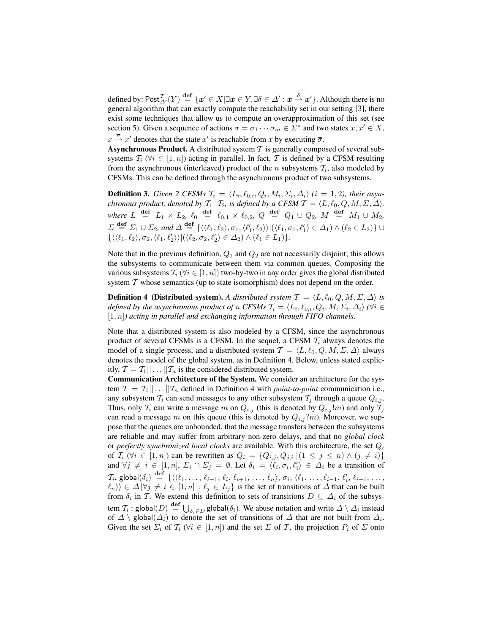defined by: Post $^{\mathcal{T}}_{\Delta'}(Y) \stackrel{{\bf def}}{=} \{ {\boldsymbol x}' \in X | \exists {\boldsymbol x} \in Y, \exists \delta \in \varDelta' : {\boldsymbol x} \stackrel{\delta}{\to} {\boldsymbol x}' \}.$  Although there is no general algorithm that can exactly compute the reachability set in our setting [3], there exist some techniques that allow us to compute an overapproximation of this set (see section 5). Given a sequence of actions  $\overline{\sigma} = \sigma_1 \cdots \sigma_m \in \Sigma^*$  and two states  $x, x' \in X$ ,  $x \stackrel{\overline{\sigma}}{\rightarrow} x'$  denotes that the state  $x'$  is reachable from x by executing  $\overline{\sigma}$ .

Asynchronous Product. A distributed system  $T$  is generally composed of several subsystems  $\mathcal{T}_i$  ( $\forall i \in [1, n]$ ) acting in parallel. In fact,  $\mathcal{T}$  is defined by a CFSM resulting from the asynchronous (interleaved) product of the  $n$  subsystems  $\mathcal{T}_i$ , also modeled by CFSMs. This can be defined through the asynchronous product of two subsystems.

**Definition 3.** Given 2 CFSMs  $T_i = \langle L_i, \ell_{0,i}, Q_i, M_i, \Sigma_i, \Delta_i \rangle$  ( $i = 1, 2$ ), their asyn*chronous product, denoted by*  $T_1||T_2$ *, is defined by a CFSM*  $\mathcal{T} = \langle L, \ell_0, Q, M, \Sigma, \Delta \rangle$ *,*  $\mathit{where}\:\: L\ \stackrel{{\mathbf{def}}}{=}\ \:L_1 \,\times\, L_2,\ \ell_0\ \stackrel{{\mathbf{def}}}{=}\ \ell_{0,1} \,\times\, \ell_{0,2},\ Q\ \stackrel{{\mathbf{def}}}{=}\ \:Q_1 \,\cup\, Q_2,\ M\ \stackrel{{\mathbf{def}}}{=}\ \:M_1 \,\cup\, M_2,$  $\Sigma \stackrel{\text{def}}{=} \Sigma_1 \cup \Sigma_2$ , and  $\Delta \stackrel{\text{def}}{=} {\{\langle \langle \ell_1, \ell_2 \rangle, \sigma_1, \langle \ell'_1, \ell_2 \rangle \rangle | (\langle \ell_1, \sigma_1, \ell'_1 \rangle \in \Delta_1) \land (\ell_2 \in L_2) \}} \cup$  $\{\langle \langle \ell_1, \ell_2 \rangle, \sigma_2, \langle \ell_1, \ell'_2 \rangle \rangle | (\langle \ell_2, \sigma_2, \ell'_2 \rangle \in \Delta_2) \land (\ell_1 \in L_1) \}.$ 

Note that in the previous definition,  $Q_1$  and  $Q_2$  are not necessarily disjoint; this allows the subsystems to communicate between them via common queues. Composing the various subsystems  $\mathcal{T}_i$  ( $\forall i \in [1, n]$ ) two-by-two in any order gives the global distributed system  $T$  whose semantics (up to state isomorphism) does not depend on the order.

**Definition 4** (Distributed system). A distributed system  $\mathcal{T} = \langle L, \ell_0, Q, M, \Sigma, \Delta \rangle$  is *defined by the asynchronous product of n CFSMs*  $\mathcal{T}_i = \langle L_i, \ell_{0,i}, Q_i, M, \Sigma_i, \Delta_i \rangle$  ( $\forall i \in$ [1, n]*) acting in parallel and exchanging information through FIFO channels.*

Note that a distributed system is also modeled by a CFSM, since the asynchronous product of several CFSMs is a CFSM. In the sequel, a CFSM  $\mathcal{T}_i$  always denotes the model of a single process, and a distributed system  $\mathcal{T} = \langle L, \ell_0, Q, M, \Sigma, \Delta \rangle$  always denotes the model of the global system, as in Definition 4. Below, unless stated explicitly,  $\mathcal{T} = \mathcal{T}_1 || \dots || \mathcal{T}_n$  is the considered distributed system.

Communication Architecture of the System. We consider an architecture for the system  $\mathcal{T} = \mathcal{T}_1 || \dots || \mathcal{T}_n$  defined in Definition 4 with *point-to-point* communication i.e., any subsystem  $T_i$  can send messages to any other subsystem  $T_j$  through a queue  $Q_{i,j}$ . Thus, only  $\mathcal{T}_i$  can write a message m on  $Q_{i,j}$  (this is denoted by  $Q_{i,j}$ !m) and only  $\mathcal{T}_j$ can read a message m on this queue (this is denoted by  $Q_{i,j}$ ?m). Moreover, we suppose that the queues are unbounded, that the message transfers between the subsystems are reliable and may suffer from arbitrary non-zero delays, and that no *global clock* or *perfectly synchronized local clocks* are available. With this architecture, the set  $Q_i$ of  $\mathcal{T}_i$  ( $\forall i \in [1, n]$ ) can be rewritten as  $Q_i = \{Q_{i,j}, Q_{j,i} | (1 \leq j \leq n) \wedge (j \neq i)\}\$ and  $\forall j \neq i \in [1, n], \Sigma_i \cap \Sigma_j = \emptyset$ . Let  $\delta_i = \langle \ell_i, \sigma_i, \ell'_i \rangle \in \Delta_i$  be a transition of  $\mathcal{T}_i$ , global $(\delta_i) \stackrel{\mathbf{def}}{=} \{ \langle \langle \ell_1, \ldots, \ell_{i-1}, \ell_i, \ell_{i+1}, \ldots, \ell_n \rangle, \sigma_i, \langle \ell_1, \ldots, \ell_{i-1}, \ell'_i, \ell_{i+1}, \ldots, \rho_i \rangle\}$  $\langle \ell_n \rangle \rangle \in \Delta | \forall j \neq i \in [1, n] : \ell_j \in L_j \}$  is the set of transitions of  $\Delta$  that can be built from  $\delta_i$  in T. We extend this definition to sets of transitions  $D \subseteq \Delta_i$  of the subsystem  $\mathcal{T}_i$  : global $(D) \stackrel{\text{def}}{=} \bigcup_{\delta_i \in D}$  global $(\delta_i)$ . We abuse notation and write  $\Delta \setminus \Delta_i$  instead of  $\Delta \setminus \mathsf{global}(\Delta_i)$  to denote the set of transitions of  $\Delta$  that are not built from  $\Delta_i$ . Given the set  $\Sigma_i$  of  $\mathcal{T}_i$  ( $\forall i \in [1, n]$ ) and the set  $\Sigma$  of  $\mathcal{T}_i$ , the projection  $P_i$  of  $\Sigma$  onto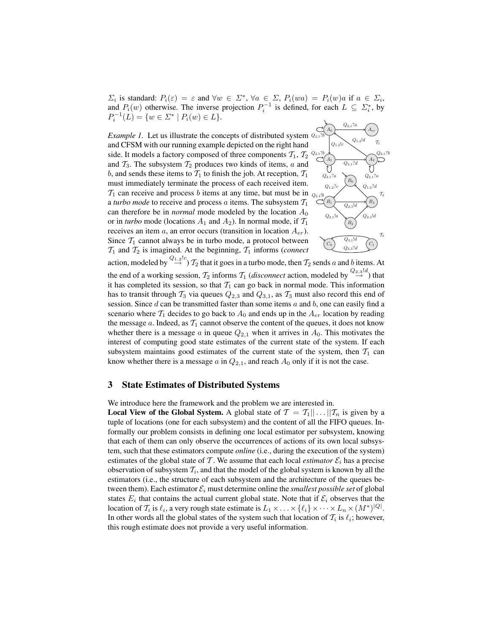$\Sigma_i$  is standard:  $P_i(\varepsilon) = \varepsilon$  and  $\forall w \in \Sigma^*$ ,  $\forall a \in \Sigma$ ,  $P_i(wa) = P_i(w)a$  if  $a \in \Sigma_i$ , and  $P_i(w)$  otherwise. The inverse projection  $P_i^{-1}$  is defined, for each  $L \subseteq \Sigma_i^*$ , by  $P_i^{-1}(L) = \{w \in \Sigma^* \mid P_i(w) \in L\}.$ 

side. It models a factory composed of three components  $T_1$ ,  $T_2$   $Q_2$ ,  $Q_3$ ,  $Q_4$ ,  $Q_5$ ,  $Q_2$ ,  $Q_5$ ,  $Q_6$ *Example 1.* Let us illustrate the concepts of distributed system  $Q_{2,1}$ ?b  $\mathcal{T}_1$  can receive and process b items at any time, but must be in  $_{Q_2,1!b}$ and CFSM with our running example depicted on the right hand and  $\mathcal{T}_3$ . The subsystem  $\mathcal{T}_2$  produces two kinds of items, a and b, and sends these items to  $\mathcal{T}_1$  to finish the job. At reception,  $\mathcal{T}_1$ must immediately terminate the process of each received item. a *turbo mode* to receive and process  $\alpha$  items. The subsystem  $\mathcal{T}_1$ can therefore be in *normal* mode modeled by the location  $A_0$ or in *turbo* mode (locations  $A_1$  and  $A_2$ ). In normal mode, if  $T_1$ receives an item  $a$ , an error occurs (transition in location  $A_{er}$ ). Since  $T_1$  cannot always be in turbo mode, a protocol between  $T_1$  and  $T_2$  is imagined. At the beginning,  $T_1$  informs (*connect* 



action, modeled by  $\frac{Q_{1,2}!c}{\rightarrow} \mathcal{T}_2$  that it goes in a turbo mode, then  $\mathcal{T}_2$  sends a and b items. At the end of a working session,  $T_2$  informs  $T_1$  (*disconnect* action, modeled by  $\stackrel{Q_{2,3}!d}{\rightarrow}$ ) that it has completed its session, so that  $T_1$  can go back in normal mode. This information has to transit through  $\mathcal{T}_3$  via queues  $Q_{2,3}$  and  $Q_{3,1}$ , as  $\mathcal{T}_3$  must also record this end of session. Since  $d$  can be transmitted faster than some items  $a$  and  $b$ , one can easily find a scenario where  $\mathcal{T}_1$  decides to go back to  $A_0$  and ends up in the  $A_{er}$  location by reading the message a. Indeed, as  $T_1$  cannot observe the content of the queues, it does not know whether there is a message a in queue  $Q_{2,1}$  when it arrives in  $A_0$ . This motivates the interest of computing good state estimates of the current state of the system. If each subsystem maintains good estimates of the current state of the system, then  $T_1$  can know whether there is a message  $a$  in  $Q_{2,1}$ , and reach  $A_0$  only if it is not the case.

## 3 State Estimates of Distributed Systems

We introduce here the framework and the problem we are interested in.

**Local View of the Global System.** A global state of  $\mathcal{T} = \mathcal{T}_1 || \dots || \mathcal{T}_n$  is given by a tuple of locations (one for each subsystem) and the content of all the FIFO queues. Informally our problem consists in defining one local estimator per subsystem, knowing that each of them can only observe the occurrences of actions of its own local subsystem, such that these estimators compute *online* (i.e., during the execution of the system) estimates of the global state of  $\mathcal T$ . We assume that each local *estimator*  $\mathcal E_i$  has a precise observation of subsystem  $\mathcal{T}_i$ , and that the model of the global system is known by all the estimators (i.e., the structure of each subsystem and the architecture of the queues between them). Each estimator  $\mathcal{E}_i$  must determine online the *smallest possible set* of global states  $E_i$  that contains the actual current global state. Note that if  $\mathcal{E}_i$  observes that the location of  $\mathcal{T}_i$  is  $\ell_i$ , a very rough state estimate is  $L_1 \times \ldots \times \{\ell_i\} \times \cdots \times L_n \times (M^*)^{|Q|}$ . In other words all the global states of the system such that location of  $\mathcal{T}_i$  is  $\ell_i$ ; however, this rough estimate does not provide a very useful information.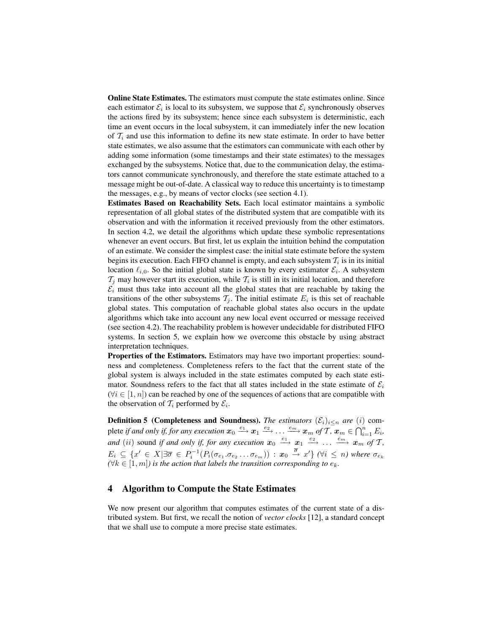Online State Estimates. The estimators must compute the state estimates online. Since each estimator  $\mathcal{E}_i$  is local to its subsystem, we suppose that  $\mathcal{E}_i$  synchronously observes the actions fired by its subsystem; hence since each subsystem is deterministic, each time an event occurs in the local subsystem, it can immediately infer the new location of  $T<sub>i</sub>$  and use this information to define its new state estimate. In order to have better state estimates, we also assume that the estimators can communicate with each other by adding some information (some timestamps and their state estimates) to the messages exchanged by the subsystems. Notice that, due to the communication delay, the estimators cannot communicate synchronously, and therefore the state estimate attached to a message might be out-of-date. A classical way to reduce this uncertainty is to timestamp the messages, e.g., by means of vector clocks (see section 4.1).

Estimates Based on Reachability Sets. Each local estimator maintains a symbolic representation of all global states of the distributed system that are compatible with its observation and with the information it received previously from the other estimators. In section 4.2, we detail the algorithms which update these symbolic representations whenever an event occurs. But first, let us explain the intuition behind the computation of an estimate. We consider the simplest case: the initial state estimate before the system begins its execution. Each FIFO channel is empty, and each subsystem  $\mathcal{T}_i$  is in its initial location  $\ell_{i,0}$ . So the initial global state is known by every estimator  $\mathcal{E}_i$ . A subsystem  $\mathcal{T}_j$  may however start its execution, while  $\mathcal{T}_i$  is still in its initial location, and therefore  $\mathcal{E}_i$  must thus take into account all the global states that are reachable by taking the transitions of the other subsystems  $\mathcal{T}_j$ . The initial estimate  $E_i$  is this set of reachable global states. This computation of reachable global states also occurs in the update algorithms which take into account any new local event occurred or message received (see section 4.2). The reachability problem is however undecidable for distributed FIFO systems. In section 5, we explain how we overcome this obstacle by using abstract interpretation techniques.

Properties of the Estimators. Estimators may have two important properties: soundness and completeness. Completeness refers to the fact that the current state of the global system is always included in the state estimates computed by each state estimator. Soundness refers to the fact that all states included in the state estimate of  $\mathcal{E}_i$  $(\forall i \in [1, n])$  can be reached by one of the sequences of actions that are compatible with the observation of  $\mathcal{T}_i$  performed by  $\mathcal{E}_i$ .

**Definition 5 (Completeness and Soundness).** *The estimators*  $(\mathcal{E}_i)_{i\leq n}$  *are* (*i*) complete *if and only if, for any execution*  $x_0 \xrightarrow{e_1} x_1 \xrightarrow{e_2} \dots \xrightarrow{e_m} x_m$  of  $\overline{T}$ ,  $x_m \in \bigcap_{i=1}^n E_i$ , *and* (*ii*) sound *if and only if, for any execution*  $x_0 \stackrel{e_1}{\longrightarrow} x_1 \stackrel{e_2}{\longrightarrow} \dots \stackrel{e_m}{\longrightarrow} x_m$  *of*  $\mathcal{T}$ *,*  $E_i \subseteq \{x' \in X | \exists \overline{\sigma} \in P_i^{-1}(P_i(\sigma_{e_1}.\sigma_{e_2}...\sigma_{e_m})) : x_0 \stackrel{\overline{\sigma}}{\rightarrow} x'\}$  ( $\forall i \leq n$ ) where  $\sigma_{e_k}$  $(\forall k \in [1, m])$  *is the action that labels the transition corresponding to*  $e_k$ *.* 

## 4 Algorithm to Compute the State Estimates

We now present our algorithm that computes estimates of the current state of a distributed system. But first, we recall the notion of *vector clocks* [12], a standard concept that we shall use to compute a more precise state estimates.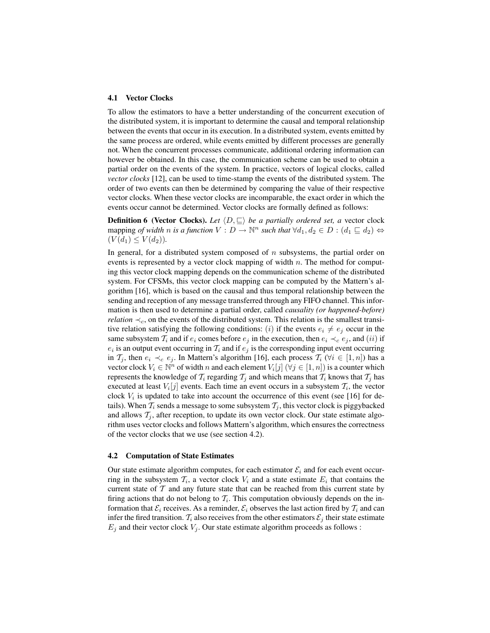#### 4.1 Vector Clocks

To allow the estimators to have a better understanding of the concurrent execution of the distributed system, it is important to determine the causal and temporal relationship between the events that occur in its execution. In a distributed system, events emitted by the same process are ordered, while events emitted by different processes are generally not. When the concurrent processes communicate, additional ordering information can however be obtained. In this case, the communication scheme can be used to obtain a partial order on the events of the system. In practice, vectors of logical clocks, called *vector clocks* [12], can be used to time-stamp the events of the distributed system. The order of two events can then be determined by comparing the value of their respective vector clocks. When these vector clocks are incomparable, the exact order in which the events occur cannot be determined. Vector clocks are formally defined as follows:

**Definition 6 (Vector Clocks).** Let  $\langle D, \sqsubseteq \rangle$  be a partially ordered set, a vector clock mapping *of width n is a function*  $V: D \to \mathbb{N}^n$  *such that*  $\forall d_1, d_2 \in D: (d_1 \sqsubseteq d_2) \Leftrightarrow$  $(V(d_1) \leq V(d_2)).$ 

In general, for a distributed system composed of  $n$  subsystems, the partial order on events is represented by a vector clock mapping of width  $n$ . The method for computing this vector clock mapping depends on the communication scheme of the distributed system. For CFSMs, this vector clock mapping can be computed by the Mattern's algorithm [16], which is based on the causal and thus temporal relationship between the sending and reception of any message transferred through any FIFO channel. This information is then used to determine a partial order, called *causality (or happened-before) relation*  $\prec_c$ , on the events of the distributed system. This relation is the smallest transitive relation satisfying the following conditions: (i) if the events  $e_i \neq e_j$  occur in the same subsystem  $\mathcal{T}_i$  and if  $e_i$  comes before  $e_j$  in the execution, then  $e_i \prec_c e_j$ , and  $(ii)$  if  $e_i$  is an output event occurring in  $\mathcal{T}_i$  and if  $e_j$  is the corresponding input event occurring in  $\mathcal{T}_i$ , then  $e_i \prec_c e_i$ . In Mattern's algorithm [16], each process  $\mathcal{T}_i$  ( $\forall i \in [1, n]$ ) has a vector clock  $V_i \in \mathbb{N}^n$  of width n and each element  $V_i[j]$   $(\forall j \in [1, n])$  is a counter which represents the knowledge of  $\mathcal{T}_i$  regarding  $\mathcal{T}_i$  and which means that  $\mathcal{T}_i$  knows that  $\mathcal{T}_i$  has executed at least  $V_i[j]$  events. Each time an event occurs in a subsystem  $\mathcal{T}_i$ , the vector clock  $V_i$  is updated to take into account the occurrence of this event (see [16] for details). When  $\mathcal{T}_i$  sends a message to some subsystem  $\mathcal{T}_j$ , this vector clock is piggybacked and allows  $\mathcal{T}_i$ , after reception, to update its own vector clock. Our state estimate algorithm uses vector clocks and follows Mattern's algorithm, which ensures the correctness of the vector clocks that we use (see section 4.2).

#### 4.2 Computation of State Estimates

Our state estimate algorithm computes, for each estimator  $\mathcal{E}_i$  and for each event occurring in the subsystem  $\mathcal{T}_i$ , a vector clock  $V_i$  and a state estimate  $E_i$  that contains the current state of  $\mathcal T$  and any future state that can be reached from this current state by firing actions that do not belong to  $\mathcal{T}_i$ . This computation obviously depends on the information that  $\mathcal{E}_i$  receives. As a reminder,  $\mathcal{E}_i$  observes the last action fired by  $\mathcal{T}_i$  and can infer the fired transition.  $T_i$  also receives from the other estimators  $\mathcal{E}_i$  their state estimate  $E_j$  and their vector clock  $V_j$ . Our state estimate algorithm proceeds as follows :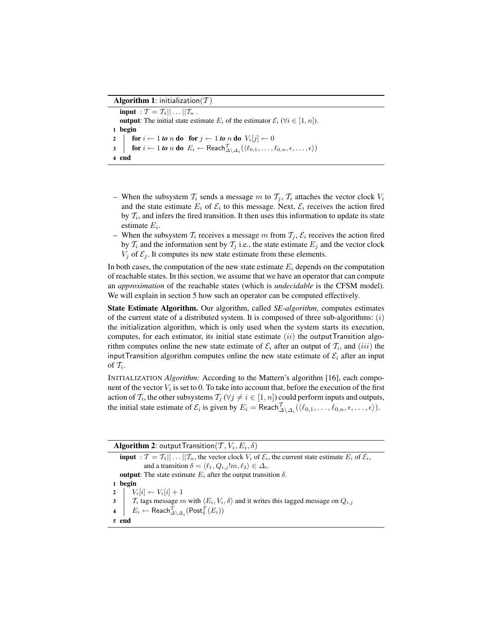Algorithm 1: initialization $(T)$ 

input :  $\mathcal{T} = \mathcal{T}_1 || \dots || \mathcal{T}_n$ . output: The initial state estimate  $E_i$  of the estimator  $\mathcal{E}_i$  ( $\forall i \in [1, n]$ ). 1 begin 2  $\int$  for  $i \leftarrow 1$  *to* n do for  $j \leftarrow 1$  *to* n do  $V_i[j] \leftarrow 0$  $\texttt{for } i \leftarrow 1 \textit{ to } n \textit{ do } \textit{ E}_i \leftarrow \textsf{Reach}^{\mathcal{I}}_{\Delta \backslash \Delta_i}(\langle \ell_{0,1}, \ldots, \ell_{0,n}, \epsilon, \ldots, \epsilon \rangle)$ 4 end

- When the subsystem  $\mathcal{T}_i$  sends a message m to  $\mathcal{T}_j$ ,  $\mathcal{T}_i$  attaches the vector clock  $V_i$ and the state estimate  $E_i$  of  $\mathcal{E}_i$  to this message. Next,  $\mathcal{E}_i$  receives the action fired by  $T_i$ , and infers the fired transition. It then uses this information to update its state estimate  $E_i$ .
- When the subsystem  $\mathcal{T}_i$  receives a message m from  $\mathcal{T}_i$ ,  $\mathcal{E}_i$  receives the action fired by  $\mathcal{T}_i$  and the information sent by  $\mathcal{T}_j$  i.e., the state estimate  $E_j$  and the vector clock  $V_i$  of  $\mathcal{E}_i$ . It computes its new state estimate from these elements.

In both cases, the computation of the new state estimate  $E_i$  depends on the computation of reachable states. In this section, we assume that we have an operator that can compute an *approximation* of the reachable states (which is *undecidable* is the CFSM model). We will explain in section 5 how such an operator can be computed effectively.

State Estimate Algorithm. Our algorithm, called *SE-algorithm*, computes estimates of the current state of a distributed system. It is composed of three sub-algorithms:  $(i)$ the initialization algorithm, which is only used when the system starts its execution, computes, for each estimator, its initial state estimate  $(ii)$  the outputTransition algorithm computes online the new state estimate of  $\mathcal{E}_i$  after an output of  $\mathcal{T}_i$ , and  $(iii)$  the input Transition algorithm computes online the new state estimate of  $\mathcal{E}_i$  after an input of  $\mathcal{T}_i$ .

INITIALIZATION *Algorithm:* According to the Mattern's algorithm [16], each component of the vector  $V_i$  is set to 0. To take into account that, before the execution of the first action of  $\mathcal{T}_i$ , the other subsystems  $\mathcal{T}_j$  ( $\forall j \neq i \in [1,n]$ ) could perform inputs and outputs, the initial state estimate of  $\mathcal{E}_i$  is given by  $E_i = \text{Reach}_{\Delta \setminus \Delta_i}^{\mathcal{T}}(\langle \ell_{0,1}, \ldots, \ell_{0,n}, \epsilon, \ldots, \epsilon \rangle).$ 

 ${\bf Algorithm ~2:}$  output ${\sf Transition}({\cal T},V_i,E_i,\delta)$ **input** :  $\mathcal{T} = \mathcal{T}_1 || \dots || \mathcal{T}_n$ , the vector clock  $V_i$  of  $\mathcal{E}_i$ , the current state estimate  $E_i$  of  $\mathcal{E}_i$ , and a transition  $\delta = \langle \ell_1, Q_{i,j} | m, \ell_2 \rangle \in \Delta_i$ . output: The state estimate  $E_i$  after the output transition  $\delta$ . 1 begin 2  $\mid V_i[i] \leftarrow V_i[i] + 1$ 3  $\int$   $\mathcal{T}_i$  tags message m with  $\langle E_i, V_i, \delta \rangle$  and it writes this tagged message on  $Q_{i,j}$  $4\quad \Big\vert \quad E_i \leftarrow \mathsf{Reach}^{\mathcal{T}}_{\varDelta \backslash \varDelta_i}(\mathsf{Post}^{\mathcal{T}}_{\delta}(E_i))$ 5 end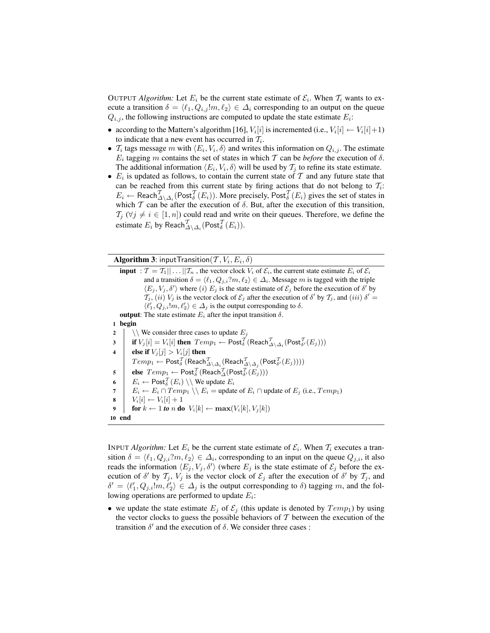OUTPUT *Algorithm*: Let  $E_i$  be the current state estimate of  $\mathcal{E}_i$ . When  $\mathcal{T}_i$  wants to execute a transition  $\delta = \langle \ell_1, Q_{i,j} | m, \ell_2 \rangle \in \Delta_i$  corresponding to an output on the queue  $Q_{i,j}$ , the following instructions are computed to update the state estimate  $E_i$ :

- according to the Mattern's algorithm [16],  $V_i[i]$  is incremented (i.e.,  $V_i[i] \leftarrow V_i[i]+1$ ) to indicate that a new event has occurred in  $\mathcal{T}_i$ .
- $\mathcal{T}_i$  tags message m with  $\langle E_i, V_i, \delta \rangle$  and writes this information on  $Q_{i,j}$ . The estimate  $E_i$  tagging m contains the set of states in which T can be *before* the execution of  $\delta$ . The additional information  $\langle E_i, V_i, \delta \rangle$  will be used by  $\mathcal{T}_j$  to refine its state estimate.
- $E_i$  is updated as follows, to contain the current state of  $\mathcal T$  and any future state that can be reached from this current state by firing actions that do not belong to  $T_i$ :  $E_i \leftarrow \text{Reach}_{\Delta \setminus \Delta_i}^{\mathcal{T}}(\text{Post}_{\delta}^{\mathcal{T}}(E_i))$ . More precisely,  $\text{Post}_{\delta}^{\mathcal{T}}(E_i)$  gives the set of states in which  $T$  can be after the execution of  $\delta$ . But, after the execution of this transition,  $\mathcal{T}_j$  ( $\forall j \neq i \in [1, n]$ ) could read and write on their queues. Therefore, we define the estimate  $E_i$  by  $\mathsf{Reach}^{\mathcal T}_{\Delta \backslash \Delta_i}(\mathsf{Post}^{\mathcal T}_\delta(E_i)).$

**Algorithm 3**: inputTransition $(\mathcal{T}, V_i, E_i, \delta)$ 

**input** :  $\mathcal{T} = \mathcal{T}_1 || \dots || \mathcal{T}_n$ , the vector clock  $V_i$  of  $\mathcal{E}_i$ , the current state estimate  $E_i$  of  $\mathcal{E}_i$ and a transition  $\delta = \langle \ell_1, Q_{j,i} \rangle : m, \ell_2 \rangle \in \Delta_i$ . Message m is tagged with the triple  $\langle E_j, V_j, \delta' \rangle$  where (i)  $E_j$  is the state estimate of  $\mathcal{E}_j$  before the execution of  $\delta'$  by  $\mathcal{T}_j$ , (*ii*)  $V_j$  is the vector clock of  $\mathcal{E}_j$  after the execution of  $\delta'$  by  $\mathcal{T}_j$ , and (*iii*)  $\delta' =$  $\langle \ell'_1, Q_{j,i} | m, \ell'_2 \rangle \in \Delta_j$  is the output corresponding to  $\delta$ . output: The state estimate  $E_i$  after the input transition  $\delta$ . 1 begin 2  $\setminus$  We consider three cases to update  $E_j$  $\mathbf{B} \quad \quad \text{if } V_j[i] = V_i[i] \text{ then } \mathit{Temp}_1 \leftarrow \mathsf{Post}^\mathcal{T}_\delta(\mathsf{Reach}^\mathcal{T}_{\Delta \backslash \Delta_i}(\mathsf{Post}^\mathcal{T}_{\delta'}(E_j)))$ 4 else if  $V_j[j] > V_i[j]$  then  $Temp_1 \leftarrow \mathsf{Post}^{\mathcal{T}}_{\delta}(\mathsf{Reach}^{\mathcal{T}}_{\Delta \backslash \Delta_i}(\mathsf{Reach}^{\mathcal{T}}_{\Delta \backslash \Delta_j}(\mathsf{Post}^{\mathcal{T}}_{\delta'}(E_j))))$  $\mathsf{s} \quad \big| \quad \mathsf{else} \ \mathit{Temp}_1 \leftarrow \mathsf{Post}^\mathcal{T}_\delta(\mathsf{Reach}^\mathcal{T}_\Delta(\mathsf{Post}^\mathcal{T}_{\delta'}(E_j)))$ 6  $E_i \leftarrow \text{Post}_{\delta}^{\mathcal{T}}(E_i) \setminus \mathcal{V}$  we update  $E_i$ 7  $E_i \leftarrow E_i \cap Temp_1 \setminus E_i = \text{update of } E_i \cap \text{update of } E_j \text{ (i.e., } Temp_1)$ 8 |  $V_i[i] \leftarrow V_i[i] + 1$ 9  $\left| \text{ for } k \leftarrow 1 \text{ to } n \text{ do } V_i[k] \leftarrow \max(V_i[k], V_j[k])$ 10 end

INPUT *Algorithm:* Let  $E_i$  be the current state estimate of  $\mathcal{E}_i$ . When  $\mathcal{T}_i$  executes a transition  $\delta = \langle \ell_1, Q_{j,i} \rangle^n$ ,  $\ell_2 \rangle \in \Delta_i$ , corresponding to an input on the queue  $Q_{j,i}$ , it also reads the information  $\langle E_j, V_j, \delta' \rangle$  (where  $E_j$  is the state estimate of  $\mathcal{E}_j$  before the execution of  $\delta'$  by  $\mathcal{T}_j$ ,  $V_j$  is the vector clock of  $\mathcal{E}_j$  after the execution of  $\delta'$  by  $\mathcal{T}_j$ , and  $\delta' = \langle \ell'_1, Q_{j,i} | m, \ell'_2 \rangle \in \Delta_j$  is the output corresponding to  $\delta$ ) tagging m, and the following operations are performed to update  $E_i$ :

• we update the state estimate  $E_j$  of  $\mathcal{E}_j$  (this update is denoted by  $Temp_1$ ) by using the vector clocks to guess the possible behaviors of  $T$  between the execution of the transition  $\delta'$  and the execution of  $\delta$ . We consider three cases :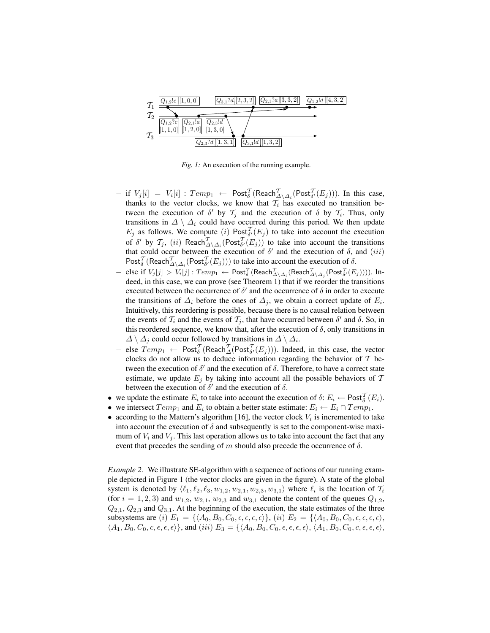

*Fig. 1:* An execution of the running example.

- $-$  if  $V_j[i]$  =  $V_i[i]$  :  $Temp_1$  ←  $Post^{\mathcal{T}}_{\delta}(Reach^{\mathcal{T}}_{\Delta \setminus \Delta_i}(Post^{\mathcal{T}}_{\delta'}(E_j))).$  In this case, thanks to the vector clocks, we know that  $\mathcal{T}_i$  has executed no transition between the execution of  $\delta'$  by  $\mathcal{T}_j$  and the execution of  $\delta$  by  $\mathcal{T}_i$ . Thus, only transitions in  $\Delta \setminus \Delta_i$  could have occurred during this period. We then update  $E_j$  as follows. We compute (i) Post $_{\delta'}^{\mathcal{T}}(E_j)$  to take into account the execution of  $\delta'$  by  $\mathcal{T}_j$ ,  $(ii)$  Reach $\frac{\mathcal{T}}{\Delta\setminus \Delta_i}(\mathsf{Post}^{\mathcal{T}}_{\delta'}(E_j))$  to take into account the transitions that could occur between the execution of  $\delta'$  and the execution of  $\delta$ , and (iii) Post $_{\delta}^{\mathcal{T}}$  (Reach $_{\Delta\setminus\Delta_i}^{\mathcal{T}}$ (Post $_{\delta'}^{\mathcal{T}}(E_j)$ )) to take into account the execution of  $\delta$ .
- $-$  else if  $V_j[j]>V_i[j]:Temp_1 \leftarrow \mathsf{Post}^\mathcal{T}_\delta(\mathsf{Reach}^\mathcal{I}_{\Delta\setminus \Delta_i}(\mathsf{Reach}^\mathcal{I}_{\Delta\setminus \Delta_j}(\mathsf{Post}^\mathcal{I}_{\delta'}(E_j))))$ . Indeed, in this case, we can prove (see Theorem 1) that if we reorder the transitions executed between the occurrence of  $\delta'$  and the occurrence of  $\delta$  in order to execute the transitions of  $\Delta_i$  before the ones of  $\Delta_j$ , we obtain a correct update of  $E_i$ . Intuitively, this reordering is possible, because there is no causal relation between the events of  $T_i$  and the events of  $T_j$ , that have occurred between  $\delta'$  and  $\delta$ . So, in this reordered sequence, we know that, after the execution of  $\delta$ , only transitions in  $\Delta \setminus \Delta_j$  could occur followed by transitions in  $\Delta \setminus \Delta_i$ .
- $-$  else  $Temp_1$  ←  $Post_{\delta}^{\mathcal{T}}(Reach_{\Delta}^{\mathcal{T}}(Post_{\delta'}^{\mathcal{T}}(E_j)))$ . Indeed, in this case, the vector clocks do not allow us to deduce information regarding the behavior of  $T$  between the execution of  $\delta'$  and the execution of  $\delta$ . Therefore, to have a correct state estimate, we update  $E_j$  by taking into account all the possible behaviors of  $T$ between the execution of  $\delta'$  and the execution of  $\delta$ .
- we update the estimate  $E_i$  to take into account the execution of  $\delta: E_i \leftarrow \text{Post}_{\delta}^{\mathcal{T}}(E_i)$ .
- we intersect  $Temp_1$  and  $E_i$  to obtain a better state estimate:  $E_i \leftarrow E_i \cap Temp_1$ .
- according to the Mattern's algorithm [16], the vector clock  $V_i$  is incremented to take into account the execution of  $\delta$  and subsequently is set to the component-wise maximum of  $V_i$  and  $V_j$ . This last operation allows us to take into account the fact that any event that precedes the sending of m should also precede the occurrence of  $\delta$ .

*Example 2.* We illustrate SE-algorithm with a sequence of actions of our running example depicted in Figure 1 (the vector clocks are given in the figure). A state of the global system is denoted by  $\langle \ell_1, \ell_2, \ell_3, w_{1,2}, w_{2,1}, w_{2,3}, w_{3,1} \rangle$  where  $\ell_i$  is the location of  $\mathcal{T}_i$ (for  $i = 1, 2, 3$ ) and  $w_{1,2}, w_{2,1}, w_{2,3}$  and  $w_{3,1}$  denote the content of the queues  $Q_{1,2}$ ,  $Q_{2,1}, Q_{2,3}$  and  $Q_{3,1}$ . At the beginning of the execution, the state estimates of the three subsystems are (i)  $E_1 = \{ \langle A_0, B_0, C_0, \epsilon, \epsilon, \epsilon \rangle \},$  (ii)  $E_2 = \{ \langle A_0, B_0, C_0, \epsilon, \epsilon, \epsilon, \epsilon \rangle \}$  $\{A_1, B_0, C_0, c, \epsilon, \epsilon, \epsilon\}$ , and  $(iii)$   $E_3 = \{\langle A_0, B_0, C_0, \epsilon, \epsilon, \epsilon, \epsilon \rangle, \langle A_1, B_0, C_0, c, \epsilon, \epsilon, \epsilon \rangle, \}$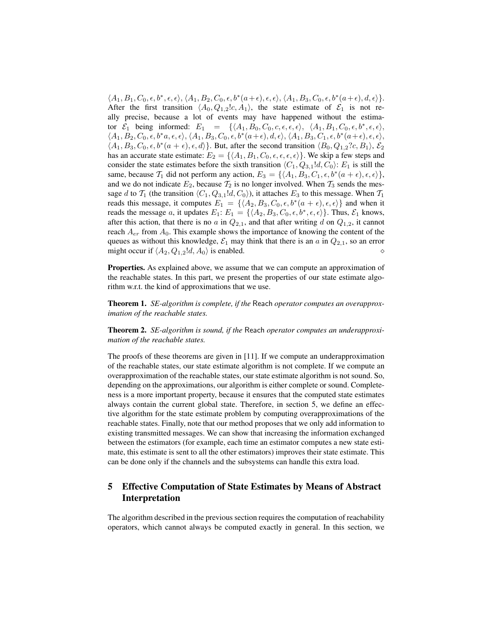$\langle A_1, B_1, C_0, \epsilon, b^*, \epsilon, \epsilon \rangle, \langle A_1, B_2, C_0, \epsilon, b^*(a+\epsilon), \epsilon, \epsilon \rangle, \langle A_1, B_3, C_0, \epsilon, b^*(a+\epsilon), d, \epsilon \rangle\}.$ After the first transition  $\langle A_0, Q_{1,2}:c, A_1 \rangle$ , the state estimate of  $\mathcal{E}_1$  is not really precise, because a lot of events may have happened without the estimator  $\mathcal{E}_1$  being informed:  $E_1 = \{ \langle A_1, B_0, C_0, c, \epsilon, \epsilon, \epsilon \rangle, \langle A_1, B_1, C_0, \epsilon, b^*, \epsilon, \epsilon \rangle, \}$  $\langle A_1, B_2, C_0, \epsilon, b^*a, \epsilon, \epsilon \rangle, \langle A_1, B_3, C_0, \epsilon, b^*(a+\epsilon), d, \epsilon \rangle, \langle A_1, B_3, C_1, \epsilon, b^*(a+\epsilon), \epsilon, \epsilon \rangle,$  $\langle A_1, B_3, C_0, \epsilon, b^*(a + \epsilon), \epsilon, d \rangle$ . But, after the second transition  $\langle B_0, Q_{1,2}$ ?c,  $B_1 \rangle$ ,  $\mathcal{E}_2$ has an accurate state estimate:  $E_2 = \{ \langle A_1, B_1, C_0, \epsilon, \epsilon, \epsilon \rangle \}$ . We skip a few steps and consider the state estimates before the sixth transition  $\langle C_1, Q_{3,1} \,ld, C_0 \rangle$ :  $E_1$  is still the same, because  $\mathcal{T}_1$  did not perform any action,  $E_3 = \{ \langle A_1, B_3, C_1, \epsilon, b^*(a + \epsilon), \epsilon, \epsilon \rangle \},\$ and we do not indicate  $E_2$ , because  $\mathcal{T}_2$  is no longer involved. When  $\mathcal{T}_3$  sends the message d to  $\mathcal{T}_1$  (the transition  $\langle C_1, Q_{3,1}!d, C_0 \rangle$ ), it attaches  $E_3$  to this message. When  $\mathcal{T}_1$ reads this message, it computes  $E_1 = \{ \langle A_2, B_3, C_0, \epsilon, b^*(a + \epsilon), \epsilon, \epsilon \rangle \}$  and when it reads the message a, it updates  $E_1$ :  $E_1 = \{ \langle A_2, B_3, C_0, \epsilon, b^*, \epsilon, \epsilon \rangle \}$ . Thus,  $\mathcal{E}_1$  knows, after this action, that there is no a in  $Q_{2,1}$ , and that after writing d on  $Q_{1,2}$ , it cannot reach  $A_{er}$  from  $A_0$ . This example shows the importance of knowing the content of the queues as without this knowledge,  $\mathcal{E}_1$  may think that there is an a in  $Q_{2,1}$ , so an error might occur if  $\langle A_2, Q_{1,2} \, d, A_0 \rangle$  is enabled.

Properties. As explained above, we assume that we can compute an approximation of the reachable states. In this part, we present the properties of our state estimate algorithm w.r.t. the kind of approximations that we use.

Theorem 1. *SE-algorithm is complete, if the* Reach *operator computes an overapproximation of the reachable states.*

Theorem 2. *SE-algorithm is sound, if the* Reach *operator computes an underapproximation of the reachable states.*

The proofs of these theorems are given in [11]. If we compute an underapproximation of the reachable states, our state estimate algorithm is not complete. If we compute an overapproximation of the reachable states, our state estimate algorithm is not sound. So, depending on the approximations, our algorithm is either complete or sound. Completeness is a more important property, because it ensures that the computed state estimates always contain the current global state. Therefore, in section 5, we define an effective algorithm for the state estimate problem by computing overapproximations of the reachable states. Finally, note that our method proposes that we only add information to existing transmitted messages. We can show that increasing the information exchanged between the estimators (for example, each time an estimator computes a new state estimate, this estimate is sent to all the other estimators) improves their state estimate. This can be done only if the channels and the subsystems can handle this extra load.

# 5 Effective Computation of State Estimates by Means of Abstract Interpretation

The algorithm described in the previous section requires the computation of reachability operators, which cannot always be computed exactly in general. In this section, we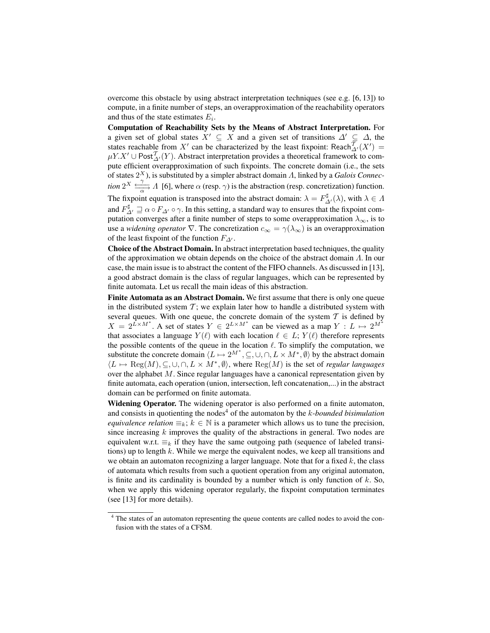overcome this obstacle by using abstract interpretation techniques (see e.g. [6, 13]) to compute, in a finite number of steps, an overapproximation of the reachability operators and thus of the state estimates  $E_i$ .

Computation of Reachability Sets by the Means of Abstract Interpretation. For a given set of global states  $X' \subseteq X$  and a given set of transitions  $\Delta' \subseteq \Delta$ , the states reachable from X' can be characterized by the least fixpoint: Reach ${}_{\Delta'}^T(X') =$  $\mu Y. X' \cup \mathsf{Post}_{\Delta'}^{\mathcal{T}}(Y)$ . Abstract interpretation provides a theoretical framework to compute efficient overapproximation of such fixpoints. The concrete domain (i.e., the sets of states 2 <sup>X</sup>), is substituted by a simpler abstract domain Λ, linked by a *Galois Connec-* $\lim_{\alpha} 2^X \xrightarrow[\alpha]{\tau}$  $\frac{\gamma}{\gamma}$  Λ [6], where  $\alpha$  (resp.  $\gamma$ ) is the abstraction (resp. concretization) function. The fixpoint equation is transposed into the abstract domain:  $\lambda = F_{\Delta'}^{\sharp}(\lambda)$ , with  $\lambda \in \Lambda$ and  $F_{\Delta'}^{\sharp} \sqsupseteq \alpha \circ F_{\Delta'} \circ \gamma$ . In this setting, a standard way to ensures that the fixpoint computation converges after a finite number of steps to some overapproximation  $\lambda_{\infty}$ , is to use a *widening operator*  $\nabla$ . The concretization  $c_{\infty} = \gamma(\lambda_{\infty})$  is an overapproximation of the least fixpoint of the function  $F_{\Delta}$ .

Choice of the Abstract Domain. In abstract interpretation based techniques, the quality of the approximation we obtain depends on the choice of the abstract domain Λ. In our case, the main issue is to abstract the content of the FIFO channels. As discussed in [13], a good abstract domain is the class of regular languages, which can be represented by finite automata. Let us recall the main ideas of this abstraction.

Finite Automata as an Abstract Domain. We first assume that there is only one queue in the distributed system  $T$ ; we explain later how to handle a distributed system with several queues. With one queue, the concrete domain of the system  $T$  is defined by  $X = 2^{\tilde{L} \times M^*}$ . A set of states  $Y \in 2^{L \times M^*}$  can be viewed as a map  $Y : L \mapsto 2^{M^*}$ that associates a language  $Y(\ell)$  with each location  $\ell \in L$ ;  $Y(\ell)$  therefore represents the possible contents of the queue in the location  $\ell$ . To simplify the computation, we substitute the concrete domain  $\langle L \mapsto 2^{M^*}, \subseteq, \cup, \cap, L \times M^*, \emptyset \rangle$  by the abstract domain  $\langle L \mapsto \text{Reg}(M), \subseteq, \cup, \cap, L \times M^*, \emptyset \rangle$ , where  $\text{Reg}(M)$  is the set of *regular languages* over the alphabet M. Since regular languages have a canonical representation given by finite automata, each operation (union, intersection, left concatenation,...) in the abstract domain can be performed on finite automata.

Widening Operator. The widening operator is also performed on a finite automaton, and consists in quotienting the nodes<sup>4</sup> of the automaton by the  $k$ -bounded bisimulation *equivalence relation*  $\equiv_k$ ;  $k \in \mathbb{N}$  is a parameter which allows us to tune the precision, since increasing  $k$  improves the quality of the abstractions in general. Two nodes are equivalent w.r.t.  $\equiv_k$  if they have the same outgoing path (sequence of labeled transitions) up to length  $k$ . While we merge the equivalent nodes, we keep all transitions and we obtain an automaton recognizing a larger language. Note that for a fixed  $k$ , the class of automata which results from such a quotient operation from any original automaton, is finite and its cardinality is bounded by a number which is only function of  $k$ . So, when we apply this widening operator regularly, the fixpoint computation terminates (see [13] for more details).

<sup>&</sup>lt;sup>4</sup> The states of an automaton representing the queue contents are called nodes to avoid the confusion with the states of a CFSM.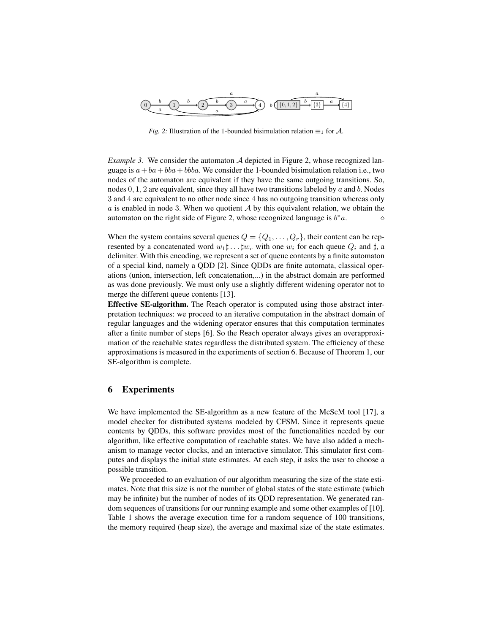

*Fig.* 2: Illustration of the 1-bounded bisimulation relation  $\equiv_1$  for A.

*Example 3.* We consider the automaton  $\mathcal A$  depicted in Figure 2, whose recognized language is  $a + ba + bba + bba$ . We consider the 1-bounded bisimulation relation i.e., two nodes of the automaton are equivalent if they have the same outgoing transitions. So, nodes  $0, 1, 2$  are equivalent, since they all have two transitions labeled by a and b. Nodes 3 and 4 are equivalent to no other node since 4 has no outgoing transition whereas only a is enabled in node 3. When we quotient  $\mathcal A$  by this equivalent relation, we obtain the automaton on the right side of Figure 2, whose recognized language is  $b^*a$ .

When the system contains several queues  $Q = \{Q_1, \ldots, Q_r\}$ , their content can be represented by a concatenated word  $w_1 \sharp \dots \sharp w_r$  with one  $w_i$  for each queue  $Q_i$  and  $\sharp$ , a delimiter. With this encoding, we represent a set of queue contents by a finite automaton of a special kind, namely a QDD [2]. Since QDDs are finite automata, classical operations (union, intersection, left concatenation,...) in the abstract domain are performed as was done previously. We must only use a slightly different widening operator not to merge the different queue contents [13].

Effective SE-algorithm. The Reach operator is computed using those abstract interpretation techniques: we proceed to an iterative computation in the abstract domain of regular languages and the widening operator ensures that this computation terminates after a finite number of steps [6]. So the Reach operator always gives an overapproximation of the reachable states regardless the distributed system. The efficiency of these approximations is measured in the experiments of section 6. Because of Theorem 1, our SE-algorithm is complete.

### 6 Experiments

We have implemented the SE-algorithm as a new feature of the McScM tool [17], a model checker for distributed systems modeled by CFSM. Since it represents queue contents by QDDs, this software provides most of the functionalities needed by our algorithm, like effective computation of reachable states. We have also added a mechanism to manage vector clocks, and an interactive simulator. This simulator first computes and displays the initial state estimates. At each step, it asks the user to choose a possible transition.

We proceeded to an evaluation of our algorithm measuring the size of the state estimates. Note that this size is not the number of global states of the state estimate (which may be infinite) but the number of nodes of its QDD representation. We generated random sequences of transitions for our running example and some other examples of [10]. Table 1 shows the average execution time for a random sequence of 100 transitions, the memory required (heap size), the average and maximal size of the state estimates.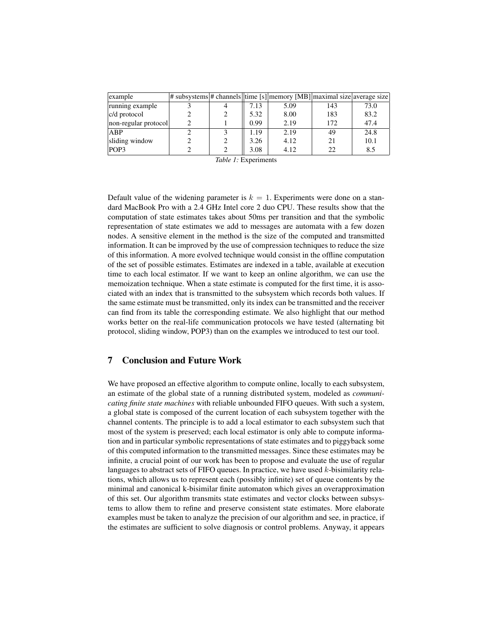| example                  |  |      | # subsystems # channels time [s] memory [MB] maximal size average size |     |      |
|--------------------------|--|------|------------------------------------------------------------------------|-----|------|
| running example          |  | 7.13 | 5.09                                                                   | 143 | 73.0 |
| $ c/d \text{ protocol} $ |  | 5.32 | 8.00                                                                   | 183 | 83.2 |
| non-regular protocol     |  | 0.99 | 2.19                                                                   | 172 | 47.4 |
| ABP                      |  | 1.19 | 2.19                                                                   | 49  | 24.8 |
| sliding window           |  | 3.26 | 4.12                                                                   | 21  | 10.1 |
| POP3                     |  | 3.08 | 4.12                                                                   | 22  | 8.5  |

|  | <i>Table 1:</i> Experiments |
|--|-----------------------------|
|  |                             |
|  |                             |

Default value of the widening parameter is  $k = 1$ . Experiments were done on a standard MacBook Pro with a 2.4 GHz Intel core 2 duo CPU. These results show that the computation of state estimates takes about 50ms per transition and that the symbolic representation of state estimates we add to messages are automata with a few dozen nodes. A sensitive element in the method is the size of the computed and transmitted information. It can be improved by the use of compression techniques to reduce the size of this information. A more evolved technique would consist in the offline computation of the set of possible estimates. Estimates are indexed in a table, available at execution time to each local estimator. If we want to keep an online algorithm, we can use the memoization technique. When a state estimate is computed for the first time, it is associated with an index that is transmitted to the subsystem which records both values. If the same estimate must be transmitted, only its index can be transmitted and the receiver can find from its table the corresponding estimate. We also highlight that our method works better on the real-life communication protocols we have tested (alternating bit protocol, sliding window, POP3) than on the examples we introduced to test our tool.

## 7 Conclusion and Future Work

We have proposed an effective algorithm to compute online, locally to each subsystem, an estimate of the global state of a running distributed system, modeled as *communicating finite state machines* with reliable unbounded FIFO queues. With such a system, a global state is composed of the current location of each subsystem together with the channel contents. The principle is to add a local estimator to each subsystem such that most of the system is preserved; each local estimator is only able to compute information and in particular symbolic representations of state estimates and to piggyback some of this computed information to the transmitted messages. Since these estimates may be infinite, a crucial point of our work has been to propose and evaluate the use of regular languages to abstract sets of FIFO queues. In practice, we have used  $k$ -bisimilarity relations, which allows us to represent each (possibly infinite) set of queue contents by the minimal and canonical k-bisimilar finite automaton which gives an overapproximation of this set. Our algorithm transmits state estimates and vector clocks between subsystems to allow them to refine and preserve consistent state estimates. More elaborate examples must be taken to analyze the precision of our algorithm and see, in practice, if the estimates are sufficient to solve diagnosis or control problems. Anyway, it appears